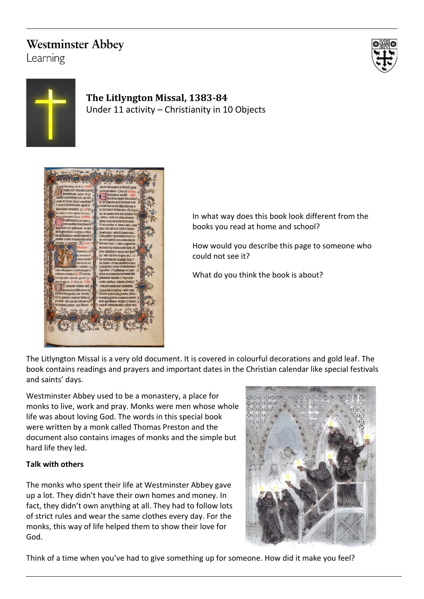# **Westminster Abbey**

Learning





## **The Litlyngton Missal, 1383-84** Under 11 activity – Christianity in 10 Objects



In what way does this book look different from the books you read at home and school?

How would you describe this page to someone who could not see it?

What do you think the book is about?

The Litlyngton Missal is a very old document. It is covered in colourful decorations and gold leaf. The book contains readings and prayers and important dates in the Christian calendar like special festivals and saints' days.

Westminster Abbey used to be a monastery, a place for monks to live, work and pray. Monks were men whose whole life was about loving God. The words in this special book were written by a monk called Thomas Preston and the document also contains images of monks and the simple but hard life they led.

### **Talk with others**

The monks who spent their life at Westminster Abbey gave up a lot. They didn't have their own homes and money. In fact, they didn't own anything at all. They had to follow lots of strict rules and wear the same clothes every day. For the monks, this way of life helped them to show their love for God.



Think of a time when you've had to give something up for someone. How did it make you feel?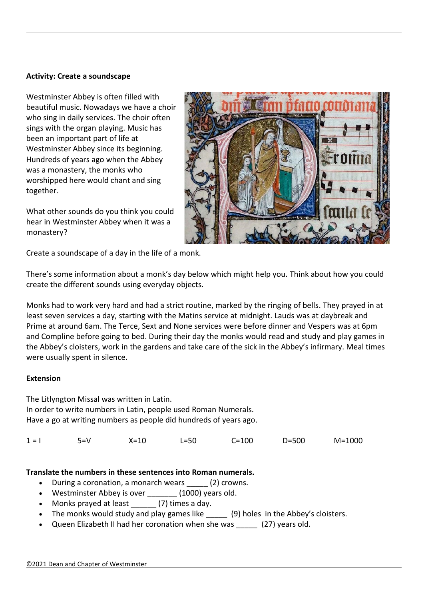#### **Activity: Create a soundscape**

Westminster Abbey is often filled with beautiful music. Nowadays we have a choir who sing in daily services. The choir often sings with the organ playing. Music has been an important part of life at Westminster Abbey since its beginning. Hundreds of years ago when the Abbey was a monastery, the monks who worshipped here would chant and sing together.

What other sounds do you think you could hear in Westminster Abbey when it was a monastery?



Create a soundscape of a day in the life of a monk.

There's some information about a monk's day below which might help you. Think about how you could create the different sounds using everyday objects.

Monks had to work very hard and had a strict routine, marked by the ringing of bells. They prayed in at least seven services a day, starting with the Matins service at midnight. Lauds was at daybreak and Prime at around 6am. The Terce, Sext and None services were before dinner and Vespers was at 6pm and Compline before going to bed. During their day the monks would read and study and play games in the Abbey's cloisters, work in the gardens and take care of the sick in the Abbey's infirmary. Meal times were usually spent in silence.

#### **Extension**

The Litlyngton Missal was written in Latin. In order to write numbers in Latin, people used Roman Numerals. Have a go at writing numbers as people did hundreds of years ago.

1 = I 5=V X=10 L=50 C=100 D=500 M=1000

#### **Translate the numbers in these sentences into Roman numerals.**

- During a coronation, a monarch wears (2) crowns.
- Westminster Abbey is over (1000) years old.
- Monks prayed at least (7) times a day.
- The monks would study and play games like (9) holes in the Abbey's cloisters.
- Queen Elizabeth II had her coronation when she was (27) years old.